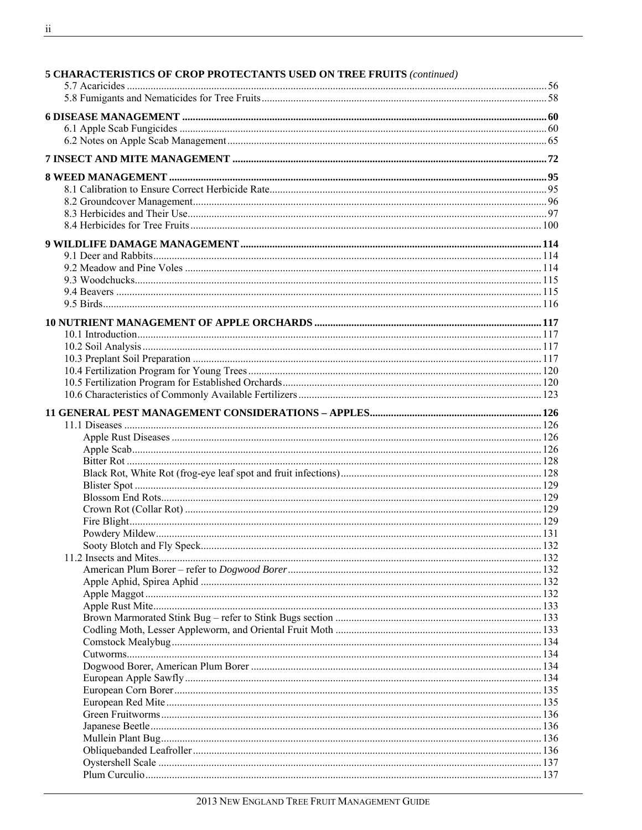| <b>5 CHARACTERISTICS OF CROP PROTECTANTS USED ON TREE FRUITS (continued)</b> |  |
|------------------------------------------------------------------------------|--|
|                                                                              |  |
|                                                                              |  |
|                                                                              |  |
|                                                                              |  |
|                                                                              |  |
|                                                                              |  |
|                                                                              |  |
|                                                                              |  |
|                                                                              |  |
|                                                                              |  |
|                                                                              |  |
|                                                                              |  |
|                                                                              |  |
|                                                                              |  |
|                                                                              |  |
|                                                                              |  |
|                                                                              |  |
|                                                                              |  |
|                                                                              |  |
|                                                                              |  |
|                                                                              |  |
|                                                                              |  |
|                                                                              |  |
|                                                                              |  |
|                                                                              |  |
|                                                                              |  |
|                                                                              |  |
|                                                                              |  |
|                                                                              |  |
|                                                                              |  |
|                                                                              |  |
|                                                                              |  |
|                                                                              |  |
|                                                                              |  |
|                                                                              |  |
|                                                                              |  |
|                                                                              |  |
|                                                                              |  |
|                                                                              |  |
|                                                                              |  |
|                                                                              |  |
|                                                                              |  |
|                                                                              |  |
|                                                                              |  |
|                                                                              |  |
|                                                                              |  |
|                                                                              |  |
|                                                                              |  |
|                                                                              |  |
|                                                                              |  |
|                                                                              |  |
|                                                                              |  |
|                                                                              |  |
|                                                                              |  |
|                                                                              |  |
|                                                                              |  |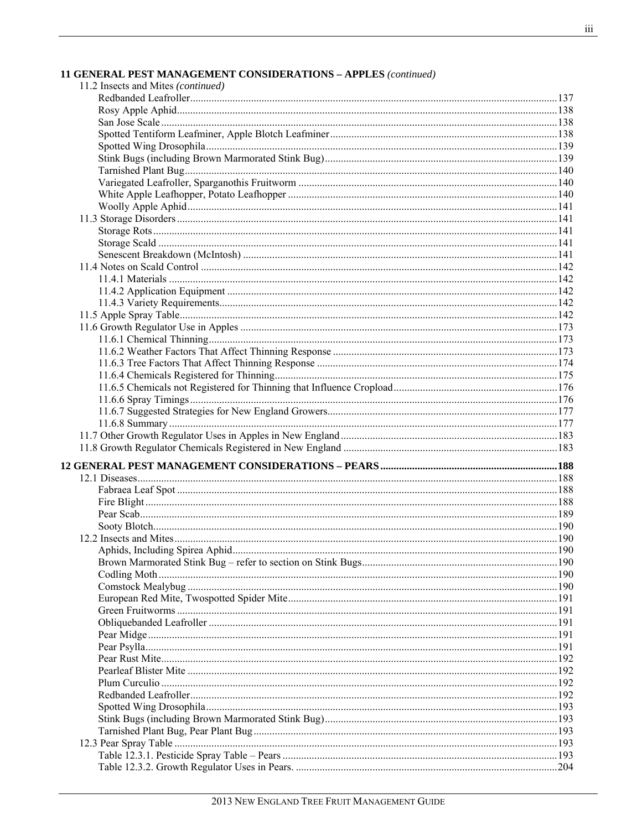| <b>11 GENERAL PEST MANAGEMENT CONSIDERATIONS – APPLES</b> (continued) |  |
|-----------------------------------------------------------------------|--|
| 11.2 Insects and Mites (continued)                                    |  |
|                                                                       |  |
|                                                                       |  |
|                                                                       |  |
|                                                                       |  |
|                                                                       |  |
|                                                                       |  |
|                                                                       |  |
|                                                                       |  |
|                                                                       |  |
|                                                                       |  |
|                                                                       |  |
|                                                                       |  |
|                                                                       |  |
|                                                                       |  |
|                                                                       |  |
|                                                                       |  |
|                                                                       |  |
|                                                                       |  |
|                                                                       |  |
|                                                                       |  |
|                                                                       |  |
|                                                                       |  |
|                                                                       |  |
|                                                                       |  |
|                                                                       |  |
|                                                                       |  |
|                                                                       |  |
|                                                                       |  |
|                                                                       |  |
|                                                                       |  |
|                                                                       |  |
|                                                                       |  |
|                                                                       |  |
|                                                                       |  |
|                                                                       |  |
|                                                                       |  |
|                                                                       |  |
|                                                                       |  |
|                                                                       |  |
|                                                                       |  |
|                                                                       |  |
|                                                                       |  |
|                                                                       |  |
|                                                                       |  |
|                                                                       |  |
|                                                                       |  |
|                                                                       |  |
|                                                                       |  |
|                                                                       |  |
|                                                                       |  |
|                                                                       |  |
|                                                                       |  |
|                                                                       |  |
|                                                                       |  |
|                                                                       |  |
|                                                                       |  |
|                                                                       |  |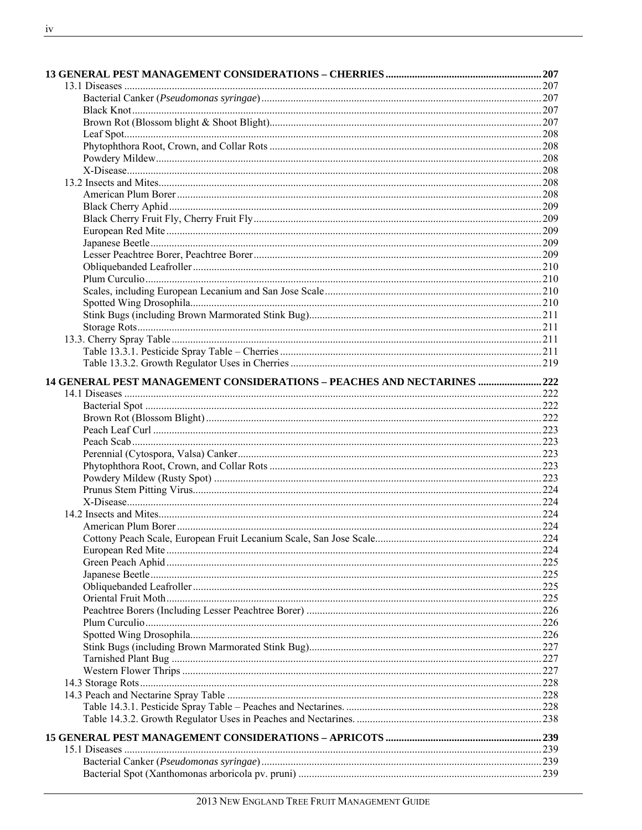| 14 GENERAL PEST MANAGEMENT CONSIDERATIONS - PEACHES AND NECTARINES  222 |  |
|-------------------------------------------------------------------------|--|
|                                                                         |  |
|                                                                         |  |
|                                                                         |  |
|                                                                         |  |
|                                                                         |  |
|                                                                         |  |
|                                                                         |  |
|                                                                         |  |
|                                                                         |  |
|                                                                         |  |
|                                                                         |  |
|                                                                         |  |
|                                                                         |  |
|                                                                         |  |
|                                                                         |  |
|                                                                         |  |
|                                                                         |  |
|                                                                         |  |
|                                                                         |  |
|                                                                         |  |
|                                                                         |  |
|                                                                         |  |
|                                                                         |  |
|                                                                         |  |
|                                                                         |  |
|                                                                         |  |
|                                                                         |  |
|                                                                         |  |
|                                                                         |  |
|                                                                         |  |
|                                                                         |  |
|                                                                         |  |
|                                                                         |  |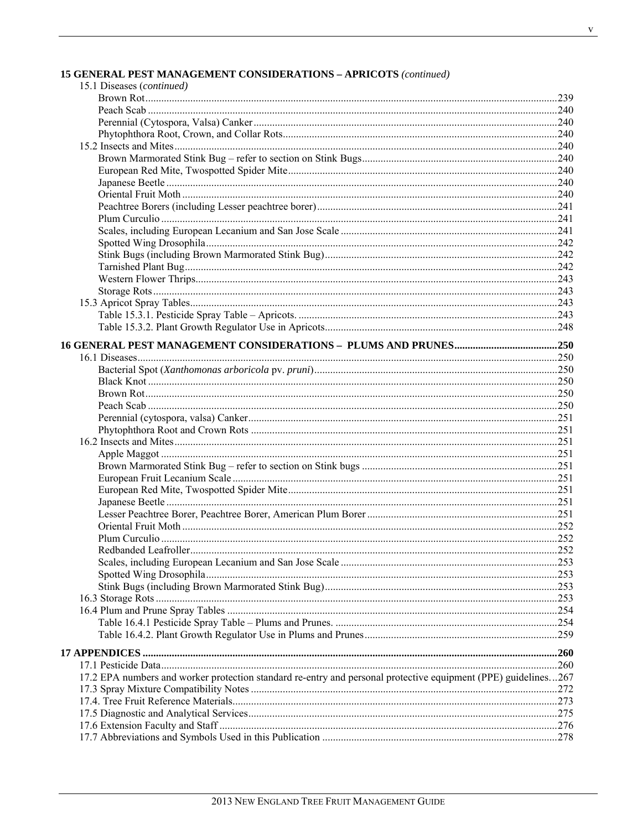|  | <b>15 GENERAL PEST MANAGEMENT CONSIDERATIONS - APRICOTS (continued)</b> |  |  |  |
|--|-------------------------------------------------------------------------|--|--|--|
|--|-------------------------------------------------------------------------|--|--|--|

| 15.1 Diseases (continued)                                                                                      |      |
|----------------------------------------------------------------------------------------------------------------|------|
|                                                                                                                |      |
|                                                                                                                |      |
|                                                                                                                |      |
|                                                                                                                |      |
|                                                                                                                |      |
|                                                                                                                |      |
|                                                                                                                |      |
|                                                                                                                |      |
|                                                                                                                |      |
|                                                                                                                |      |
|                                                                                                                |      |
|                                                                                                                |      |
|                                                                                                                |      |
|                                                                                                                |      |
|                                                                                                                |      |
|                                                                                                                |      |
|                                                                                                                |      |
|                                                                                                                |      |
|                                                                                                                |      |
|                                                                                                                |      |
|                                                                                                                |      |
|                                                                                                                |      |
|                                                                                                                |      |
|                                                                                                                |      |
|                                                                                                                |      |
|                                                                                                                |      |
|                                                                                                                |      |
|                                                                                                                |      |
|                                                                                                                |      |
|                                                                                                                |      |
|                                                                                                                |      |
|                                                                                                                |      |
|                                                                                                                |      |
|                                                                                                                |      |
|                                                                                                                |      |
|                                                                                                                |      |
|                                                                                                                |      |
|                                                                                                                |      |
| Redbanded Leafroller                                                                                           | .252 |
|                                                                                                                |      |
|                                                                                                                |      |
|                                                                                                                |      |
|                                                                                                                |      |
|                                                                                                                |      |
|                                                                                                                |      |
|                                                                                                                |      |
|                                                                                                                |      |
|                                                                                                                |      |
|                                                                                                                |      |
| 17.2 EPA numbers and worker protection standard re-entry and personal protective equipment (PPE) guidelines267 |      |
|                                                                                                                |      |
|                                                                                                                |      |
|                                                                                                                |      |
|                                                                                                                |      |
|                                                                                                                |      |